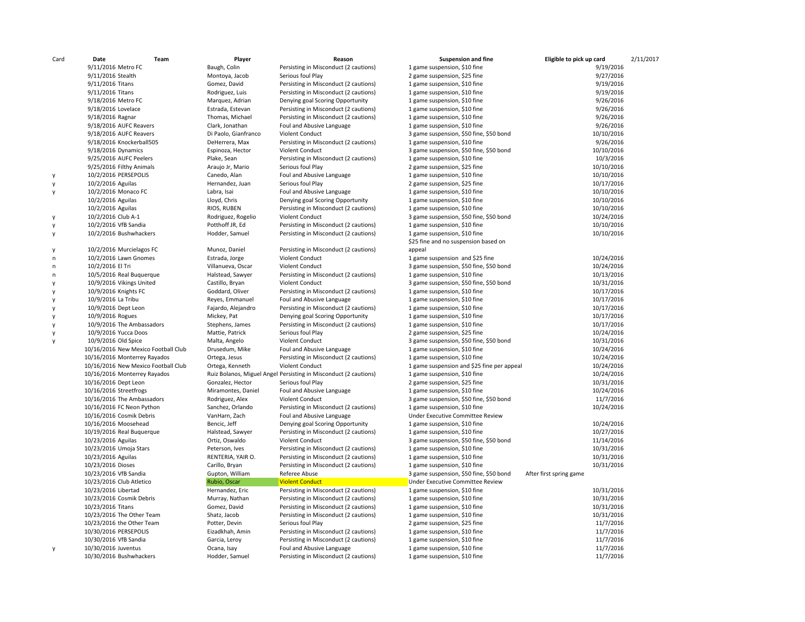| Card         | Date                                | Team | Player               | Reason                                                           | <b>Suspension and fine</b>                 | Eligible to pick up card | 2/11/2017 |
|--------------|-------------------------------------|------|----------------------|------------------------------------------------------------------|--------------------------------------------|--------------------------|-----------|
|              | 9/11/2016 Metro FC                  |      | Baugh, Colin         | Persisting in Misconduct (2 cautions)                            | 1 game suspension, \$10 fine               | 9/19/2016                |           |
|              | 9/11/2016 Stealth                   |      | Montoya, Jacob       | Serious foul Play                                                | 2 game suspension, \$25 fine               | 9/27/2016                |           |
|              | 9/11/2016 Titans                    |      | Gomez, David         | Persisting in Misconduct (2 cautions)                            | 1 game suspension, \$10 fine               | 9/19/2016                |           |
|              | 9/11/2016 Titans                    |      | Rodriguez, Luis      | Persisting in Misconduct (2 cautions)                            | 1 game suspension, \$10 fine               | 9/19/2016                |           |
|              | 9/18/2016 Metro FC                  |      | Marquez, Adrian      | Denying goal Scoring Opportunity                                 | 1 game suspension, \$10 fine               | 9/26/2016                |           |
|              | 9/18/2016 Lovelace                  |      | Estrada, Estevan     | Persisting in Misconduct (2 cautions)                            | 1 game suspension, \$10 fine               | 9/26/2016                |           |
|              | 9/18/2016 Ragnar                    |      | Thomas, Michael      | Persisting in Misconduct (2 cautions)                            | 1 game suspension, \$10 fine               | 9/26/2016                |           |
|              | 9/18/2016 AUFC Reavers              |      | Clark, Jonathan      | Foul and Abusive Language                                        | 1 game suspension, \$10 fine               | 9/26/2016                |           |
|              | 9/18/2016 AUFC Reavers              |      | Di Paolo, Gianfranco | Violent Conduct                                                  | 3 game suspension, \$50 fine, \$50 bond    | 10/10/2016               |           |
|              | 9/18/2016 Knockerball505            |      | DeHerrera, Max       | Persisting in Misconduct (2 cautions)                            | 1 game suspension, \$10 fine               | 9/26/2016                |           |
|              | 9/18/2016 Dynamics                  |      | Espinoza, Hector     | Violent Conduct                                                  | 3 game suspension, \$50 fine, \$50 bond    | 10/10/2016               |           |
|              | 9/25/2016 AUFC Peelers              |      | Plake, Sean          | Persisting in Misconduct (2 cautions)                            | 1 game suspension, \$10 fine               | 10/3/2016                |           |
|              | 9/25/2016 Filthy Animals            |      | Araujo Jr, Mario     | Serious foul Play                                                | 2 game suspension, \$25 fine               | 10/10/2016               |           |
| $\mathsf{v}$ | 10/2/2016 PERSEPOLIS                |      | Canedo, Alan         | Foul and Abusive Language                                        | 1 game suspension, \$10 fine               | 10/10/2016               |           |
| y            | 10/2/2016 Aguilas                   |      | Hernandez, Juan      | Serious foul Play                                                | 2 game suspension, \$25 fine               | 10/17/2016               |           |
| у            | 10/2/2016 Monaco FC                 |      | Labra, Isai          | Foul and Abusive Language                                        | 1 game suspension, \$10 fine               | 10/10/2016               |           |
|              | 10/2/2016 Aguilas                   |      | Lloyd, Chris         | Denying goal Scoring Opportunity                                 | 1 game suspension, \$10 fine               | 10/10/2016               |           |
|              | 10/2/2016 Aguilas                   |      | RIOS, RUBEN          | Persisting in Misconduct (2 cautions)                            | 1 game suspension, \$10 fine               | 10/10/2016               |           |
| y            | 10/2/2016 Club A-1                  |      | Rodriguez, Rogelio   | Violent Conduct                                                  | 3 game suspension, \$50 fine, \$50 bond    | 10/24/2016               |           |
| y            | 10/2/2016 VfB Sandia                |      | Potthoff JR, Ed      | Persisting in Misconduct (2 cautions)                            | 1 game suspension, \$10 fine               | 10/10/2016               |           |
| y            | 10/2/2016 Bushwhackers              |      | Hodder, Samuel       | Persisting in Misconduct (2 cautions)                            | 1 game suspension, \$10 fine               | 10/10/2016               |           |
|              |                                     |      |                      |                                                                  | \$25 fine and no suspension based on       |                          |           |
| y            | 10/2/2016 Murcielagos FC            |      | Munoz, Daniel        | Persisting in Misconduct (2 cautions)                            | appeal                                     |                          |           |
| n            | 10/2/2016 Lawn Gnomes               |      | Estrada, Jorge       | Violent Conduct                                                  | 1 game suspension and \$25 fine            | 10/24/2016               |           |
| n            | 10/2/2016 El Tri                    |      | Villanueva, Oscar    | Violent Conduct                                                  | 3 game suspension, \$50 fine, \$50 bond    | 10/24/2016               |           |
| n            | 10/5/2016 Real Buquerque            |      | Halstead, Sawyer     | Persisting in Misconduct (2 cautions)                            | 1 game suspension, \$10 fine               | 10/13/2016               |           |
| y            | 10/9/2016 Vikings United            |      | Castillo, Bryan      | Violent Conduct                                                  | 3 game suspension, \$50 fine, \$50 bond    | 10/31/2016               |           |
| y            | 10/9/2016 Knights FC                |      | Goddard, Oliver      | Persisting in Misconduct (2 cautions)                            | 1 game suspension, \$10 fine               | 10/17/2016               |           |
| ٧            | 10/9/2016 La Tribu                  |      | Reyes, Emmanuel      | Foul and Abusive Language                                        | 1 game suspension, \$10 fine               | 10/17/2016               |           |
| y            | 10/9/2016 Dept Leon                 |      | Fajardo, Alejandro   | Persisting in Misconduct (2 cautions)                            | 1 game suspension, \$10 fine               | 10/17/2016               |           |
| y            | 10/9/2016 Rogues                    |      | Mickey, Pat          | Denying goal Scoring Opportunity                                 | 1 game suspension, \$10 fine               | 10/17/2016               |           |
|              | 10/9/2016 The Ambassadors           |      | Stephens, James      | Persisting in Misconduct (2 cautions)                            | 1 game suspension, \$10 fine               | 10/17/2016               |           |
| y            | 10/9/2016 Yucca Doos                |      | Mattie, Patrick      | Serious foul Play                                                | 2 game suspension, \$25 fine               | 10/24/2016               |           |
| y            | 10/9/2016 Old Spice                 |      | Malta, Angelo        | Violent Conduct                                                  | 3 game suspension, \$50 fine, \$50 bond    | 10/31/2016               |           |
|              | 10/16/2016 New Mexico Football Club |      | Drusedum, Mike       | Foul and Abusive Language                                        | 1 game suspension, \$10 fine               | 10/24/2016               |           |
|              | 10/16/2016 Monterrey Rayados        |      | Ortega, Jesus        | Persisting in Misconduct (2 cautions)                            | 1 game suspension, \$10 fine               | 10/24/2016               |           |
|              | 10/16/2016 New Mexico Football Club |      | Ortega, Kenneth      | Violent Conduct                                                  | 1 game suspension and \$25 fine per appeal | 10/24/2016               |           |
|              | 10/16/2016 Monterrey Rayados        |      |                      | Ruiz Bolanos, Miguel Angel Persisting in Misconduct (2 cautions) | 1 game suspension, \$10 fine               | 10/24/2016               |           |
|              | 10/16/2016 Dept Leon                |      | Gonzalez, Hector     | Serious foul Play                                                | 2 game suspension, \$25 fine               | 10/31/2016               |           |
|              | 10/16/2016 Streetfrogs              |      | Miramontes, Daniel   | Foul and Abusive Language                                        | 1 game suspension, \$10 fine               | 10/24/2016               |           |
|              | 10/16/2016 The Ambassadors          |      | Rodriguez, Alex      | Violent Conduct                                                  | 3 game suspension, \$50 fine, \$50 bond    | 11/7/2016                |           |
|              | 10/16/2016 FC Neon Python           |      | Sanchez, Orlando     | Persisting in Misconduct (2 cautions)                            | 1 game suspension, \$10 fine               | 10/24/2016               |           |
|              | 10/16/2016 Cosmik Debris            |      | VanHarn, Zach        | Foul and Abusive Language                                        | Under Executive Committee Review           |                          |           |
|              | 10/16/2016 Moosehead                |      | Bencic, Jeff         | Denying goal Scoring Opportunity                                 | 1 game suspension, \$10 fine               | 10/24/2016               |           |
|              | 10/19/2016 Real Buquerque           |      | Halstead, Sawyer     | Persisting in Misconduct (2 cautions)                            | 1 game suspension, \$10 fine               | 10/27/2016               |           |
|              | 10/23/2016 Aguilas                  |      | Ortiz, Oswaldo       | Violent Conduct                                                  | 3 game suspension, \$50 fine, \$50 bond    | 11/14/2016               |           |
|              | 10/23/2016 Umoja Stars              |      | Peterson, Ives       | Persisting in Misconduct (2 cautions)                            | 1 game suspension, \$10 fine               | 10/31/2016               |           |
|              | 10/23/2016 Aguilas                  |      | RENTERIA, YAIR O.    | Persisting in Misconduct (2 cautions)                            | 1 game suspension, \$10 fine               | 10/31/2016               |           |
|              | 10/23/2016 Dioses                   |      | Carillo, Bryan       | Persisting in Misconduct (2 cautions)                            | 1 game suspension, \$10 fine               | 10/31/2016               |           |
|              | 10/23/2016 VfB Sandia               |      | Gupton, William      | Referee Abuse                                                    | 3 game suspension, \$50 fine, \$50 bond    | After first spring game  |           |
|              | 10/23/2016 Club Atletico            |      | Rubio, Oscar         | <b>Violent Conduct</b>                                           | Under Executive Committee Review           |                          |           |
|              | 10/23/2016 Libertad                 |      | Hernandez, Eric      | Persisting in Misconduct (2 cautions)                            | 1 game suspension, \$10 fine               | 10/31/2016               |           |
|              | 10/23/2016 Cosmik Debris            |      | Murray, Nathan       | Persisting in Misconduct (2 cautions)                            | 1 game suspension, \$10 fine               | 10/31/2016               |           |
|              | 10/23/2016 Titans                   |      | Gomez, David         | Persisting in Misconduct (2 cautions)                            | 1 game suspension, \$10 fine               | 10/31/2016               |           |
|              | 10/23/2016 The Other Team           |      | Shatz, Jacob         | Persisting in Misconduct (2 cautions)                            | 1 game suspension, \$10 fine               | 10/31/2016               |           |
|              | 10/23/2016 the Other Team           |      | Potter, Devin        | Serious foul Play                                                | 2 game suspension, \$25 fine               | 11/7/2016                |           |
|              | 10/30/2016 PERSEPOLIS               |      | Eizadkhah, Amin      | Persisting in Misconduct (2 cautions)                            | 1 game suspension, \$10 fine               | 11/7/2016                |           |
|              | 10/30/2016 VfB Sandia               |      | Garcia, Leroy        | Persisting in Misconduct (2 cautions)                            | 1 game suspension, \$10 fine               | 11/7/2016                |           |
| у            | 10/30/2016 Juventus                 |      | Ocana, Isay          | Foul and Abusive Language                                        | 1 game suspension, \$10 fine               | 11/7/2016                |           |
|              | 10/30/2016 Bushwhackers             |      | Hodder, Samuel       | Persisting in Misconduct (2 cautions)                            | 1 game suspension, \$10 fine               | 11/7/2016                |           |